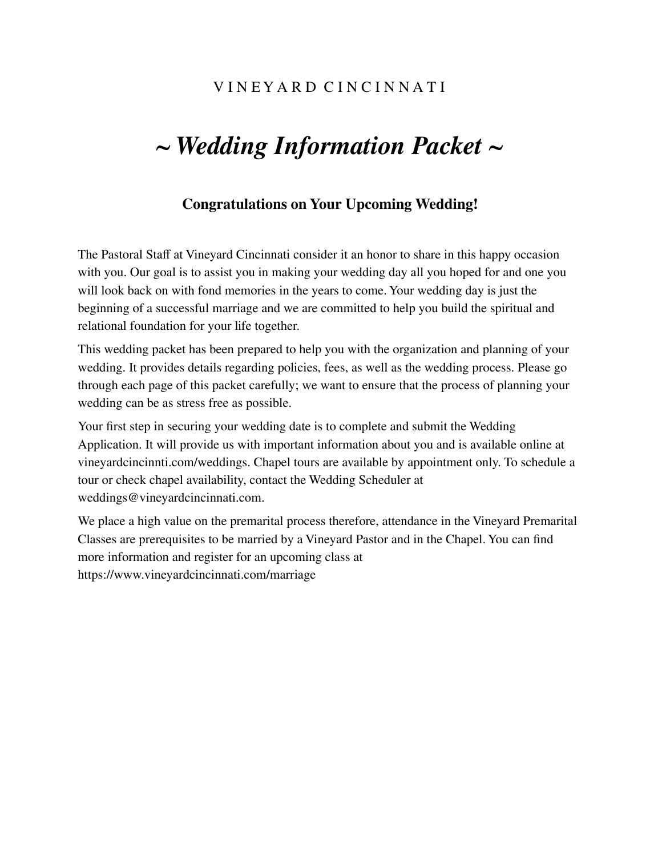# *~ Wedding Information Packet ~*

### **Congratulations on Your Upcoming Wedding!**

The Pastoral Staff at Vineyard Cincinnati consider it an honor to share in this happy occasion with you. Our goal is to assist you in making your wedding day all you hoped for and one you will look back on with fond memories in the years to come. Your wedding day is just the beginning of a successful marriage and we are committed to help you build the spiritual and relational foundation for your life together.

This wedding packet has been prepared to help you with the organization and planning of your wedding. It provides details regarding policies, fees, as well as the wedding process. Please go through each page of this packet carefully; we want to ensure that the process of planning your wedding can be as stress free as possible.

Your first step in securing your wedding date is to complete and submit the Wedding Application. It will provide us with important information about you and is available online at vineyardcincinnti.com/weddings. Chapel tours are available by appointment only. To schedule a tour or check chapel availability, contact the Wedding Scheduler at weddings@vineyardcincinnati.com.

We place a high value on the premarital process therefore, attendance in the Vineyard Premarital Classes are prerequisites to be married by a Vineyard Pastor and in the Chapel. You can find more information and register for an upcoming class at https://www.vineyardcincinnati.com/marriage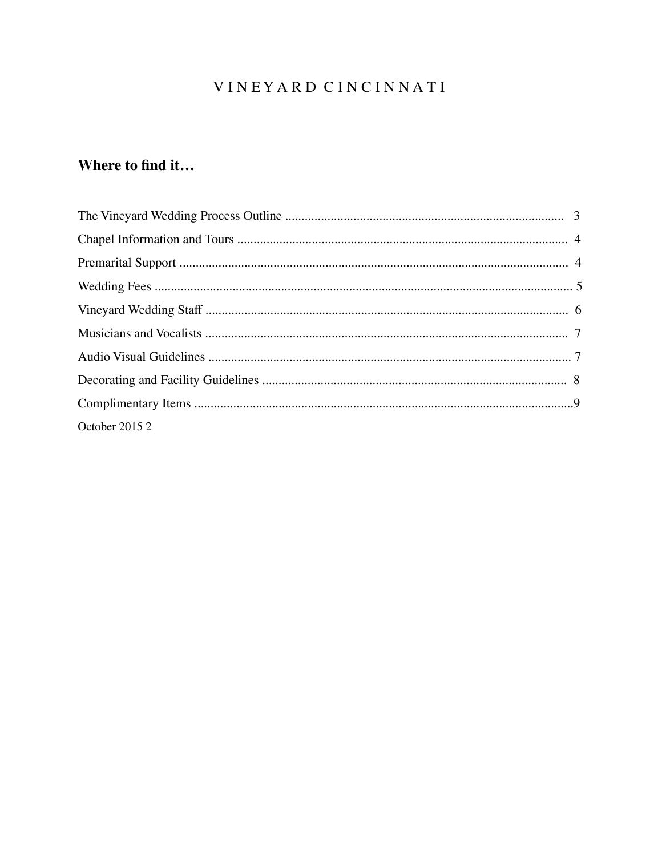## VINEYARD CINCINNATI

# Where to find it...

| October 2015 2 |  |
|----------------|--|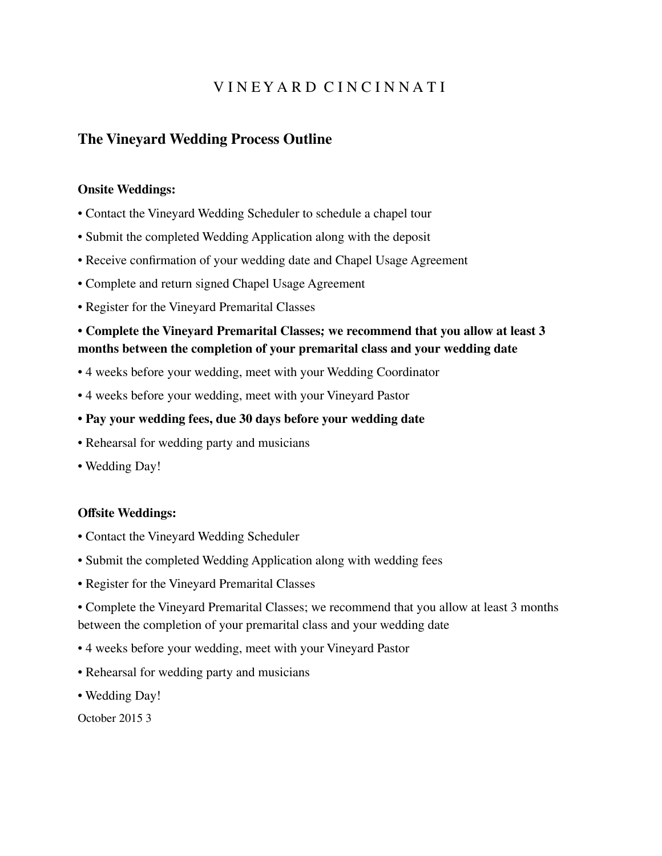### **The Vineyard Wedding Process Outline**

#### **Onsite Weddings:**

- Contact the Vineyard Wedding Scheduler to schedule a chapel tour
- Submit the completed Wedding Application along with the deposit
- Receive confirmation of your wedding date and Chapel Usage Agreement
- Complete and return signed Chapel Usage Agreement
- Register for the Vineyard Premarital Classes

#### **• Complete the Vineyard Premarital Classes; we recommend that you allow at least 3 months between the completion of your premarital class and your wedding date**

- 4 weeks before your wedding, meet with your Wedding Coordinator
- 4 weeks before your wedding, meet with your Vineyard Pastor

#### **• Pay your wedding fees, due 30 days before your wedding date**

- Rehearsal for wedding party and musicians
- Wedding Day!

#### **Offsite Weddings:**

- Contact the Vineyard Wedding Scheduler
- Submit the completed Wedding Application along with wedding fees
- Register for the Vineyard Premarital Classes

• Complete the Vineyard Premarital Classes; we recommend that you allow at least 3 months between the completion of your premarital class and your wedding date

- 4 weeks before your wedding, meet with your Vineyard Pastor
- Rehearsal for wedding party and musicians
- Wedding Day!

October 2015 3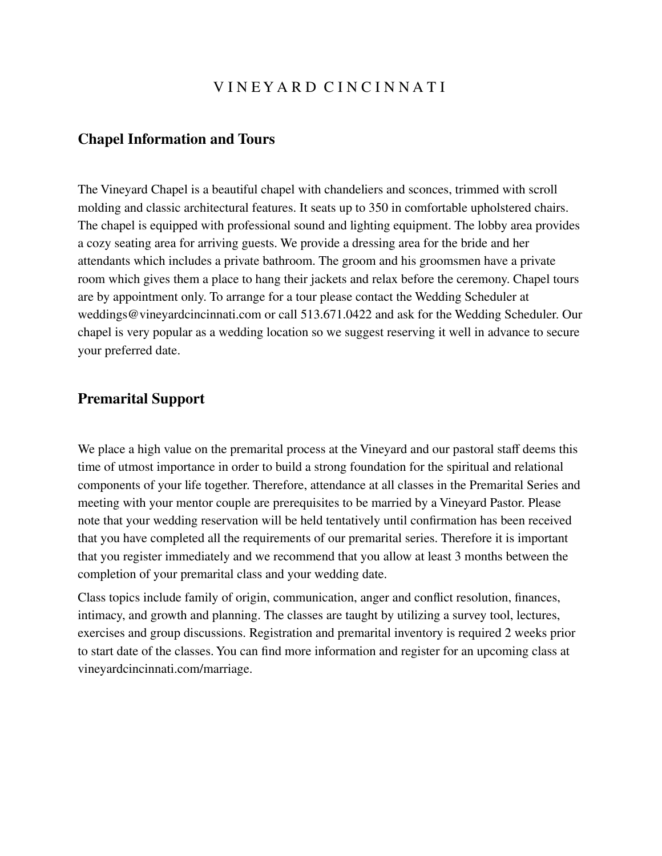#### **Chapel Information and Tours**

The Vineyard Chapel is a beautiful chapel with chandeliers and sconces, trimmed with scroll molding and classic architectural features. It seats up to 350 in comfortable upholstered chairs. The chapel is equipped with professional sound and lighting equipment. The lobby area provides a cozy seating area for arriving guests. We provide a dressing area for the bride and her attendants which includes a private bathroom. The groom and his groomsmen have a private room which gives them a place to hang their jackets and relax before the ceremony. Chapel tours are by appointment only. To arrange for a tour please contact the Wedding Scheduler at weddings@vineyardcincinnati.com or call 513.671.0422 and ask for the Wedding Scheduler. Our chapel is very popular as a wedding location so we suggest reserving it well in advance to secure your preferred date.

### **Premarital Support**

We place a high value on the premarital process at the Vineyard and our pastoral staff deems this time of utmost importance in order to build a strong foundation for the spiritual and relational components of your life together. Therefore, attendance at all classes in the Premarital Series and meeting with your mentor couple are prerequisites to be married by a Vineyard Pastor. Please note that your wedding reservation will be held tentatively until confirmation has been received that you have completed all the requirements of our premarital series. Therefore it is important that you register immediately and we recommend that you allow at least 3 months between the completion of your premarital class and your wedding date.

Class topics include family of origin, communication, anger and conflict resolution, finances, intimacy, and growth and planning. The classes are taught by utilizing a survey tool, lectures, exercises and group discussions. Registration and premarital inventory is required 2 weeks prior to start date of the classes. You can find more information and register for an upcoming class at vineyardcincinnati.com/marriage.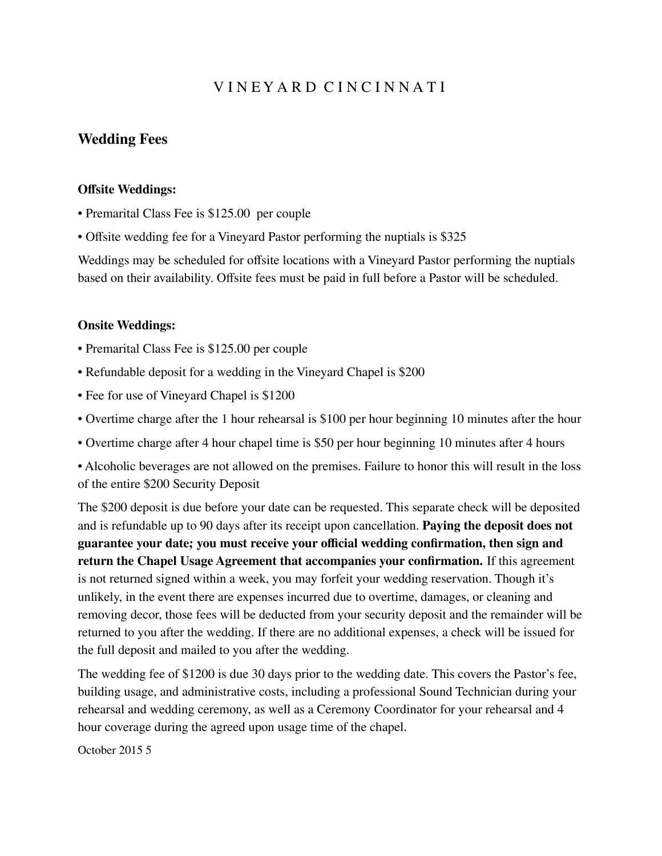### **Wedding Fees**

#### **Offsite Weddings:**

- Premarital Class Fee is \$125.00 per couple
- Offsite wedding fee for a Vineyard Pastor performing the nuptials is \$325

Weddings may be scheduled for offsite locations with a Vineyard Pastor performing the nuptials based on their availability. Offsite fees must be paid in full before a Pastor will be scheduled.

#### **Onsite Weddings:**

- Premarital Class Fee is \$125.00 per couple
- Refundable deposit for a wedding in the Vineyard Chapel is \$200
- Fee for use of Vineyard Chapel is \$1200
- Overtime charge after the 1 hour rehearsal is \$100 per hour beginning 10 minutes after the hour
- Overtime charge after 4 hour chapel time is \$50 per hour beginning 10 minutes after 4 hours
- Alcoholic beverages are not allowed on the premises. Failure to honor this will result in the loss of the entire \$200 Security Deposit

The \$200 deposit is due before your date can be requested. This separate check will be deposited and is refundable up to 90 days after its receipt upon cancellation. **Paying the deposit does not guarantee your date; you must receive your official wedding confirmation, then sign and return the Chapel Usage Agreement that accompanies your confirmation.** If this agreement is not returned signed within a week, you may forfeit your wedding reservation. Though it's unlikely, in the event there are expenses incurred due to overtime, damages, or cleaning and removing decor, those fees will be deducted from your security deposit and the remainder will be returned to you after the wedding. If there are no additional expenses, a check will be issued for the full deposit and mailed to you after the wedding.

The wedding fee of \$1200 is due 30 days prior to the wedding date. This covers the Pastor's fee, building usage, and administrative costs, including a professional Sound Technician during your rehearsal and wedding ceremony, as well as a Ceremony Coordinator for your rehearsal and 4 hour coverage during the agreed upon usage time of the chapel.

October 2015 5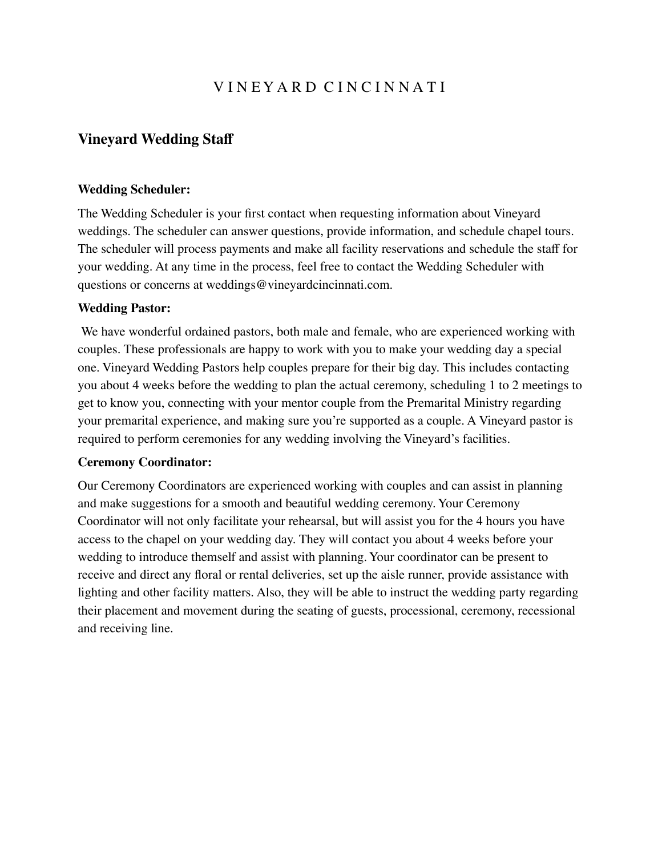### **Vineyard Wedding Staff**

#### **Wedding Scheduler:**

The Wedding Scheduler is your first contact when requesting information about Vineyard weddings. The scheduler can answer questions, provide information, and schedule chapel tours. The scheduler will process payments and make all facility reservations and schedule the staff for your wedding. At any time in the process, feel free to contact the Wedding Scheduler with questions or concerns at weddings@vineyardcincinnati.com.

#### **Wedding Pastor:**

We have wonderful ordained pastors, both male and female, who are experienced working with couples. These professionals are happy to work with you to make your wedding day a special one. Vineyard Wedding Pastors help couples prepare for their big day. This includes contacting you about 4 weeks before the wedding to plan the actual ceremony, scheduling 1 to 2 meetings to get to know you, connecting with your mentor couple from the Premarital Ministry regarding your premarital experience, and making sure you're supported as a couple. A Vineyard pastor is required to perform ceremonies for any wedding involving the Vineyard's facilities.

#### **Ceremony Coordinator:**

Our Ceremony Coordinators are experienced working with couples and can assist in planning and make suggestions for a smooth and beautiful wedding ceremony. Your Ceremony Coordinator will not only facilitate your rehearsal, but will assist you for the 4 hours you have access to the chapel on your wedding day. They will contact you about 4 weeks before your wedding to introduce themself and assist with planning. Your coordinator can be present to receive and direct any floral or rental deliveries, set up the aisle runner, provide assistance with lighting and other facility matters. Also, they will be able to instruct the wedding party regarding their placement and movement during the seating of guests, processional, ceremony, recessional and receiving line.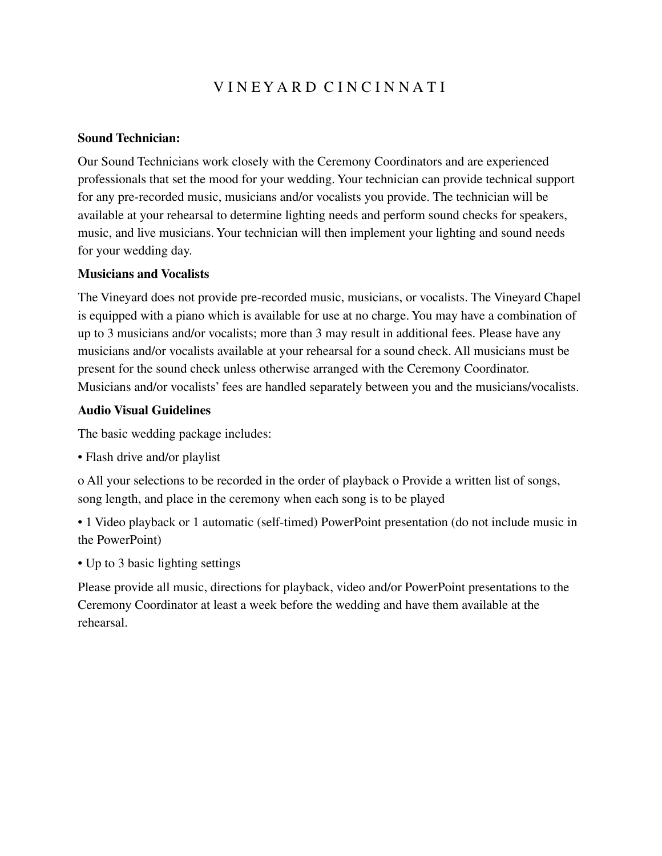#### **Sound Technician:**

Our Sound Technicians work closely with the Ceremony Coordinators and are experienced professionals that set the mood for your wedding. Your technician can provide technical support for any pre-recorded music, musicians and/or vocalists you provide. The technician will be available at your rehearsal to determine lighting needs and perform sound checks for speakers, music, and live musicians. Your technician will then implement your lighting and sound needs for your wedding day.

#### **Musicians and Vocalists**

The Vineyard does not provide pre-recorded music, musicians, or vocalists. The Vineyard Chapel is equipped with a piano which is available for use at no charge. You may have a combination of up to 3 musicians and/or vocalists; more than 3 may result in additional fees. Please have any musicians and/or vocalists available at your rehearsal for a sound check. All musicians must be present for the sound check unless otherwise arranged with the Ceremony Coordinator. Musicians and/or vocalists' fees are handled separately between you and the musicians/vocalists.

#### **Audio Visual Guidelines**

The basic wedding package includes:

• Flash drive and/or playlist

o All your selections to be recorded in the order of playback o Provide a written list of songs, song length, and place in the ceremony when each song is to be played

• 1 Video playback or 1 automatic (self-timed) PowerPoint presentation (do not include music in the PowerPoint)

• Up to 3 basic lighting settings

Please provide all music, directions for playback, video and/or PowerPoint presentations to the Ceremony Coordinator at least a week before the wedding and have them available at the rehearsal.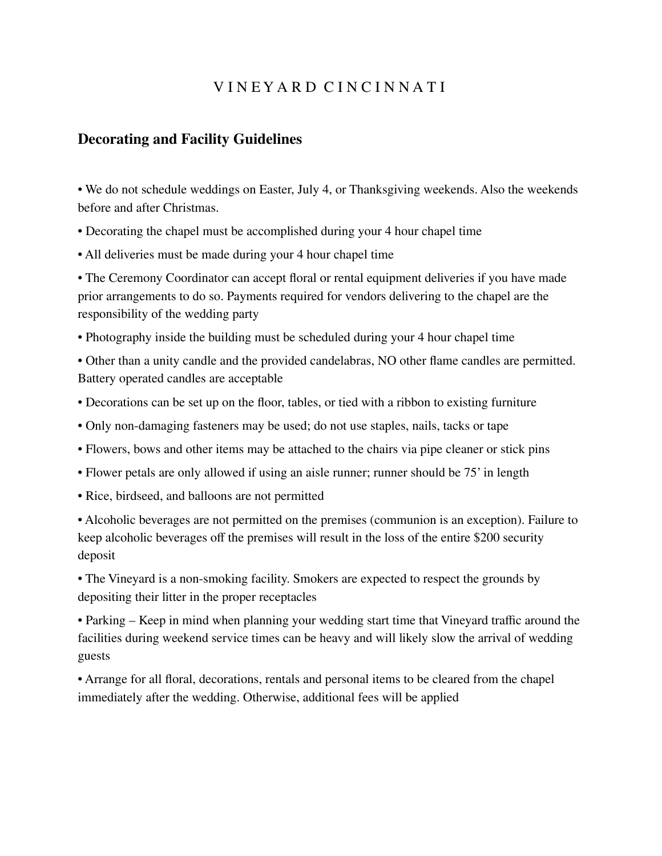### **Decorating and Facility Guidelines**

• We do not schedule weddings on Easter, July 4, or Thanksgiving weekends. Also the weekends before and after Christmas.

• Decorating the chapel must be accomplished during your 4 hour chapel time

• All deliveries must be made during your 4 hour chapel time

• The Ceremony Coordinator can accept floral or rental equipment deliveries if you have made prior arrangements to do so. Payments required for vendors delivering to the chapel are the responsibility of the wedding party

• Photography inside the building must be scheduled during your 4 hour chapel time

• Other than a unity candle and the provided candelabras, NO other flame candles are permitted. Battery operated candles are acceptable

- Decorations can be set up on the floor, tables, or tied with a ribbon to existing furniture
- Only non-damaging fasteners may be used; do not use staples, nails, tacks or tape
- Flowers, bows and other items may be attached to the chairs via pipe cleaner or stick pins
- Flower petals are only allowed if using an aisle runner; runner should be 75' in length
- Rice, birdseed, and balloons are not permitted

• Alcoholic beverages are not permitted on the premises (communion is an exception). Failure to keep alcoholic beverages off the premises will result in the loss of the entire \$200 security deposit

• The Vineyard is a non-smoking facility. Smokers are expected to respect the grounds by depositing their litter in the proper receptacles

• Parking – Keep in mind when planning your wedding start time that Vineyard traffic around the facilities during weekend service times can be heavy and will likely slow the arrival of wedding guests

• Arrange for all floral, decorations, rentals and personal items to be cleared from the chapel immediately after the wedding. Otherwise, additional fees will be applied